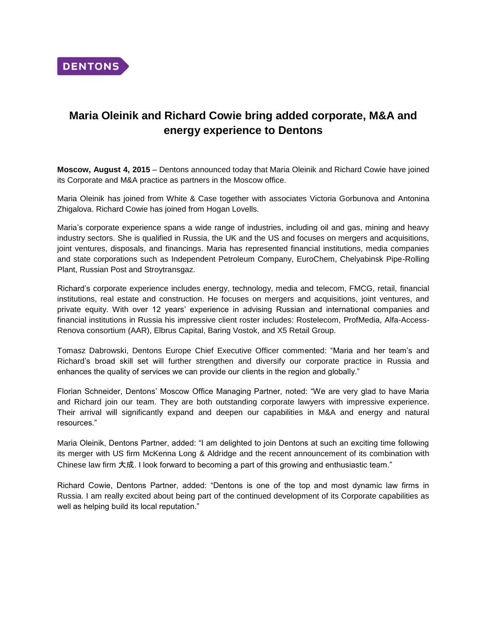

## **Maria Oleinik and Richard Cowie bring added corporate, M&A and energy experience to Dentons**

**Moscow, August 4, 2015** – Dentons announced today that Maria Oleinik and Richard Cowie have joined its Corporate and M&A practice as partners in the Moscow office.

Maria Oleinik has joined from White & Case together with associates Victoria Gorbunova and Antonina Zhigalova. Richard Cowie has joined from Hogan Lovells.

Maria's corporate experience spans a wide range of industries, including oil and gas, mining and heavy industry sectors. She is qualified in Russia, the UK and the US and focuses on mergers and acquisitions, joint ventures, disposals, and financings. Maria has represented financial institutions, media companies and state corporations such as Independent Petroleum Company, EuroChem, Chelyabinsk Pipe-Rolling Plant, Russian Post and Stroytransgaz.

Richard's corporate experience includes energy, technology, media and telecom, FMCG, retail, financial institutions, real estate and construction. He focuses on mergers and acquisitions, joint ventures, and private equity. With over 12 years' experience in advising Russian and international companies and financial institutions in Russia his impressive client roster includes: Rostelecom, ProfMedia, Alfa-Access-Renova consortium (AAR), Elbrus Capital, Baring Vostok, and X5 Retail Group.

Tomasz Dabrowski, Dentons Europe Chief Executive Officer commented: "Maria and her team's and Richard's broad skill set will further strengthen and diversify our corporate practice in Russia and enhances the quality of services we can provide our clients in the region and globally."

Florian Schneider, Dentons' Moscow Office Managing Partner, noted: "We are very glad to have Maria and Richard join our team. They are both outstanding corporate lawyers with impressive experience. Their arrival will significantly expand and deepen our capabilities in M&A and energy and natural resources."

Maria Oleinik, Dentons Partner, added: "I am delighted to join Dentons at such an exciting time following its merger with US firm McKenna Long & Aldridge and the recent announcement of its combination with Chinese law firm 大成. I look forward to becoming a part of this growing and enthusiastic team."

Richard Cowie, Dentons Partner, added: "Dentons is one of the top and most dynamic law firms in Russia. I am really excited about being part of the continued development of its Corporate capabilities as well as helping build its local reputation."